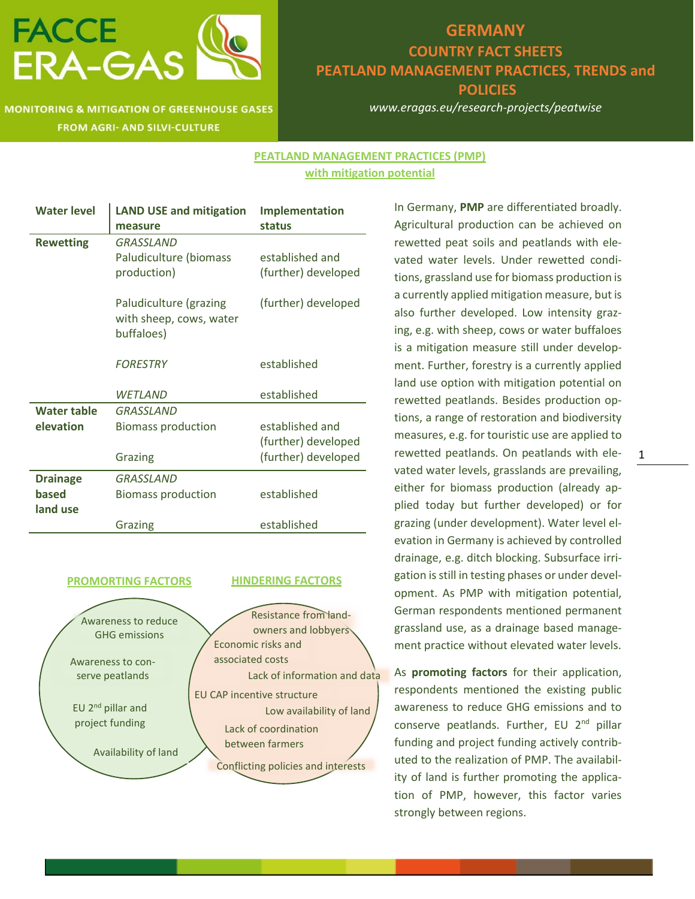

**MONITORING & MITIGATION OF GREENHOUSE GASES** FROM AGRI- AND SILVI-CULTURE

## **GERMANY COUNTRY FACT SHEETS PEATLAND MANAGEMENT PRACTICES, TRENDS and POLICIES**

*www.eragas.eu/research-projects/peatwise*

#### **PEATLAND MANAGEMENT PRACTICES (PMP) with mitigation potential**

| <b>Water level</b> | <b>LAND USE and mitigation</b>        | Implementation      |
|--------------------|---------------------------------------|---------------------|
|                    | measure                               | status              |
| <b>Rewetting</b>   | <b>GRASSLAND</b>                      |                     |
|                    | Paludiculture (biomass                | established and     |
|                    | production)                           | (further) developed |
|                    | Paludiculture (grazing                | (further) developed |
|                    | with sheep, cows, water<br>buffaloes) |                     |
|                    |                                       |                     |
|                    | <b>FORESTRY</b>                       | established         |
|                    |                                       |                     |
|                    | <b>WETLAND</b>                        | established         |
| <b>Water table</b> | <b>GRASSLAND</b>                      |                     |
| elevation          | <b>Biomass production</b>             | established and     |
|                    |                                       | (further) developed |
|                    | Grazing                               | (further) developed |
| <b>Drainage</b>    | <b>GRASSLAND</b>                      |                     |
| based              | <b>Biomass production</b>             | established         |
| land use           |                                       |                     |
|                    | Grazing                               | established         |

#### **PROMORTING FACTORS**  EU 2nd pillar and project funding **HINDERING FACTORS**  Resistance from landowners and lobbyers EU CAP incentive structure Conflicting policies and interests Awareness to reduce GHG emissions Awareness to conserve peatlands Availability of land Low availability of land Economic risks and associated costs Lack of information and data Lack of coordination between farmers

In Germany, **PMP** are differentiated broadly. Agricultural production can be achieved on rewetted peat soils and peatlands with elevated water levels. Under rewetted conditions, grassland use for biomass production is a currently applied mitigation measure, but is also further developed. Low intensity grazing, e.g. with sheep, cows or water buffaloes is a mitigation measure still under development. Further, forestry is a currently applied land use option with mitigation potential on rewetted peatlands. Besides production options, a range of restoration and biodiversity measures, e.g. for touristic use are applied to rewetted peatlands. On peatlands with elevated water levels, grasslands are prevailing, either for biomass production (already applied today but further developed) or for grazing (under development). Water level elevation in Germany is achieved by controlled drainage, e.g. ditch blocking. Subsurface irrigation is still in testing phases or under development. As PMP with mitigation potential, German respondents mentioned permanent grassland use, as a drainage based management practice without elevated water levels.

As **promoting factors** for their application, respondents mentioned the existing public awareness to reduce GHG emissions and to conserve peatlands. Further, EU 2<sup>nd</sup> pillar funding and project funding actively contributed to the realization of PMP. The availability of land is further promoting the application of PMP, however, this factor varies strongly between regions.

1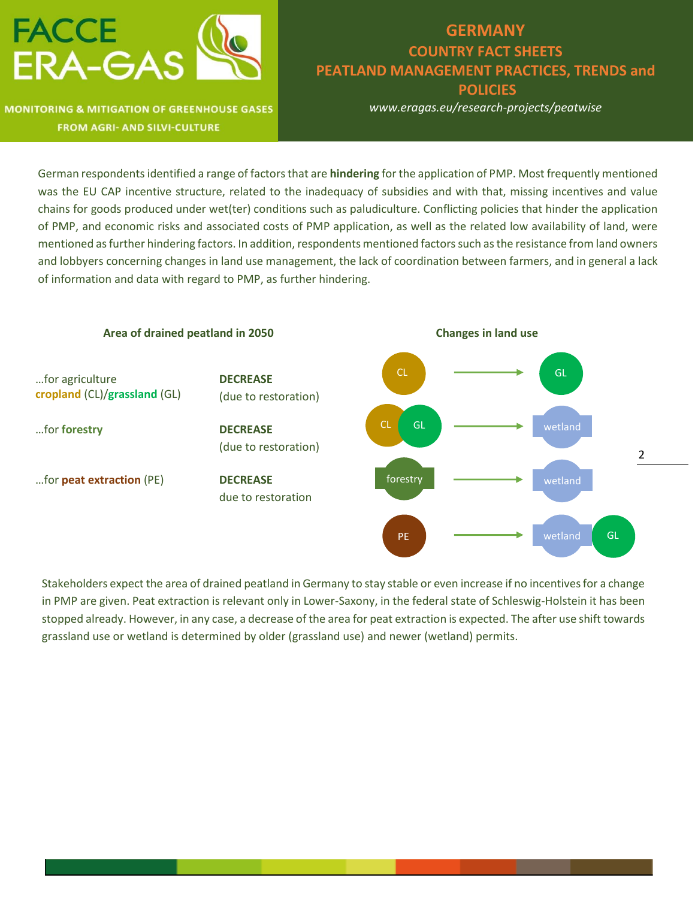

#### **MONITORING & MITIGATION OF GREENHOUSE GASES FROM AGRI- AND SILVI-CULTURE**

# **GERMANY COUNTRY FACT SHEETS PEATLAND MANAGEMENT PRACTICES, TRENDS and POLICIES**

*www.eragas.eu/research-projects/peatwise*

German respondentsidentified a range of factors that are **hindering** for the application of PMP. Most frequently mentioned was the EU CAP incentive structure, related to the inadequacy of subsidies and with that, missing incentives and value chains for goods produced under wet(ter) conditions such as paludiculture. Conflicting policies that hinder the application of PMP, and economic risks and associated costs of PMP application, as well as the related low availability of land, were mentioned as further hindering factors. In addition, respondents mentioned factors such as the resistance from land owners and lobbyers concerning changes in land use management, the lack of coordination between farmers, and in general a lack of information and data with regard to PMP, as further hindering.



Stakeholders expect the area of drained peatland in Germany to stay stable or even increase if no incentives for a change in PMP are given. Peat extraction is relevant only in Lower-Saxony, in the federal state of Schleswig-Holstein it has been stopped already. However, in any case, a decrease of the area for peat extraction is expected. The after use shift towards grassland use or wetland is determined by older (grassland use) and newer (wetland) permits.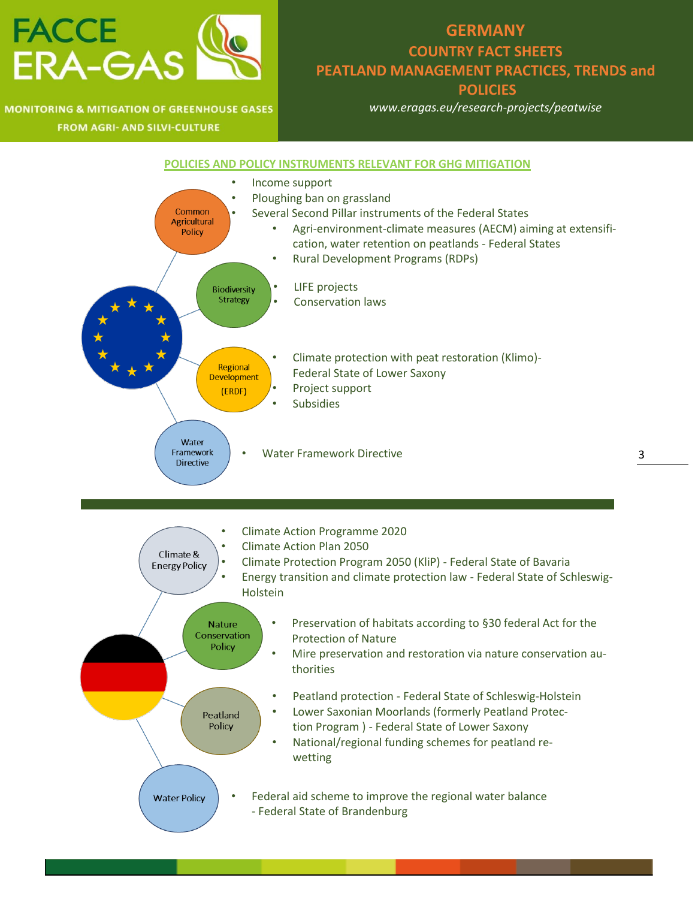

#### **MONITORING & MITIGATION OF GREENHOUSE GASES FROM AGRI- AND SILVI-CULTURE**

# **GERMANY COUNTRY FACT SHEETS PEATLAND MANAGEMENT PRACTICES, TRENDS and POLICIES**

*www.eragas.eu/research-projects/peatwise*